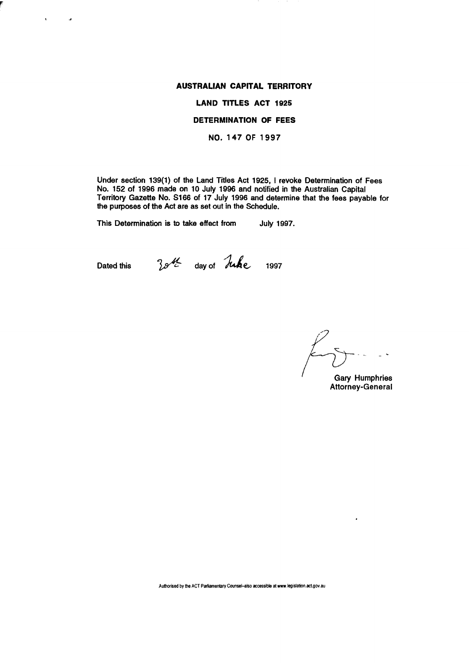# **AUSTRALIAN CAPITAL TERRITORY**

# **LAND TITLES ACT** 1925

### **DETERMINATION OF FEES**

NO. 147 OF 1997

Under section 139(1) of the Land Titles Act 1925, I revoke Determination of Fees No. 152 of 1996 made on 10 July 1996 and notified in the Australian Capital Territory Gazette No. S166 of 17 July 1996 and determine that the fees payable for the purposes of the Act are as set out in the Schedule.

This Determination is to take effect from July 1997.

 $\mathbf{r}$ 

 $\mathcal{L}$ 

Dated this  $35\%$  day of Juke 1997

Gary Humphries Attorney-General

 $\ddot{\phantom{0}}$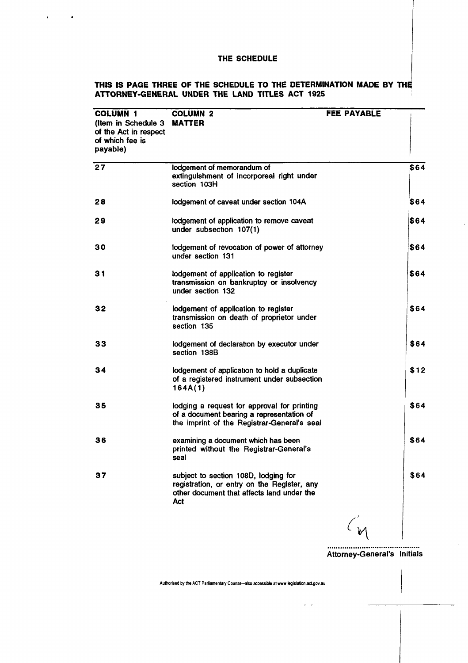$\mathbf{u} = \mathbf{u} \times \mathbf{u}$  , where

### **THIS IS PAGE THREE OF THE SCHEDULE TO THE DETERMINATION MADE BY THE ATTORNEY-GENERAL UNDER THE LAND TITLES ACT 1925**

| <b>COLUMN 1</b><br>(Item in Schedule 3 MATTER<br>of the Act in respect<br>of which fee is<br>payable) | <b>COLUMN 2</b>                                                                                                                          | <b>FEE PAYABLE</b> |      |
|-------------------------------------------------------------------------------------------------------|------------------------------------------------------------------------------------------------------------------------------------------|--------------------|------|
| 27                                                                                                    | lodgement of memorandum of<br>extinguishment of incorporeal right under<br>section 103H                                                  |                    | \$64 |
| 28                                                                                                    | lodgement of caveat under section 104A                                                                                                   |                    | \$64 |
| 29                                                                                                    | lodgement of application to remove caveat<br>under subsection 107(1)                                                                     |                    | \$64 |
| 30                                                                                                    | lodgement of revocation of power of attorney<br>under section 131                                                                        |                    | \$64 |
| 31                                                                                                    | lodgement of application to register<br>transmission on bankruptcy or insolvency<br>under section 132                                    |                    | \$64 |
| 32                                                                                                    | lodgement of application to register<br>transmission on death of proprietor under<br>section 135                                         |                    | \$64 |
| 33                                                                                                    | lodgement of declaration by executor under<br>section 138B                                                                               |                    | \$64 |
| 34                                                                                                    | lodgement of application to hold a duplicate<br>of a registered instrument under subsection<br>164A(1)                                   |                    | \$12 |
| 35                                                                                                    | lodging a request for approval for printing<br>of a document bearing a representation of<br>the imprint of the Registrar-General's seal  |                    | \$64 |
| 36                                                                                                    | examining a document which has been<br>printed without the Registrar-General's<br>seal                                                   |                    | \$64 |
| 37                                                                                                    | subject to section 108D, lodging for<br>registration, or entry on the Register, any<br>other document that affects land under the<br>Act |                    | \$64 |
|                                                                                                       |                                                                                                                                          |                    |      |

Attorney-General's Initials  $\bar{z}$ 

 $\sim$ 

**Authorised by the ACT Parliamentary Counsel-also accessible at www.legislation.act.gov.au** 

 $\sim$   $\sim$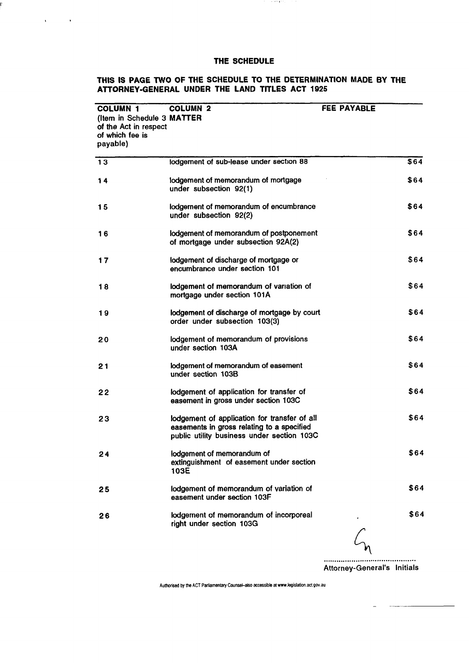ŗ

 $\mathbf{v} = \mathbf{v} \times \mathbf{v}$  .

## **THIS IS PAGE TWO OF THE SCHEDULE TO THE DETERMINATION MADE BY THE ATTORNEY-GENERAL UNDER THE LAND TITLES ACT 1925**

or and \$20.

| <b>COLUMN 1</b><br>(Item in Schedule 3 MATTER<br>of the Act in respect<br>of which fee is<br>payable) | <b>COLUMN 2</b>                                                                                                                          | <b>FEE PAYABLE</b> |
|-------------------------------------------------------------------------------------------------------|------------------------------------------------------------------------------------------------------------------------------------------|--------------------|
| 13                                                                                                    | lodgement of sub-lease under section 88                                                                                                  | \$64               |
| 14                                                                                                    | lodgement of memorandum of mortgage<br>under subsection 92(1)                                                                            | \$64               |
| 15                                                                                                    | lodgement of memorandum of encumbrance<br>under subsection 92(2)                                                                         | \$64               |
| 16                                                                                                    | lodgement of memorandum of postponement<br>of mortgage under subsection 92A(2)                                                           | \$64               |
| 17                                                                                                    | lodgement of discharge of mortgage or<br>encumbrance under section 101                                                                   | \$64               |
| 18                                                                                                    | lodgement of memorandum of variation of<br>mortgage under section 101A                                                                   | \$64               |
| 19                                                                                                    | lodgement of discharge of mortgage by court<br>order under subsection 103(3)                                                             | \$64               |
| 20                                                                                                    | lodgement of memorandum of provisions<br>under section 103A                                                                              | \$64               |
| 21                                                                                                    | lodgement of memorandum of easement<br>under section 103B                                                                                | \$64               |
| 22                                                                                                    | lodgement of application for transfer of<br>easement in gross under section 103C                                                         | \$64               |
| 23                                                                                                    | lodgement of application for transfer of all<br>easements in gross relating to a specified<br>public utility business under section 103C | \$64               |
| 24                                                                                                    | lodgement of memorandum of<br>extinguishment of easement under section<br>103E                                                           | \$64               |
| 25                                                                                                    | lodgement of memorandum of variation of<br>easement under section 103F                                                                   | \$64               |
| 26                                                                                                    | lodgement of memorandum of incorporeal<br>right under section 103G                                                                       | \$64               |

Attorney-General's Initials

**Authorised by the ACT Parliamentary Counsel-also accessible atwww.legislation.act.gov.au**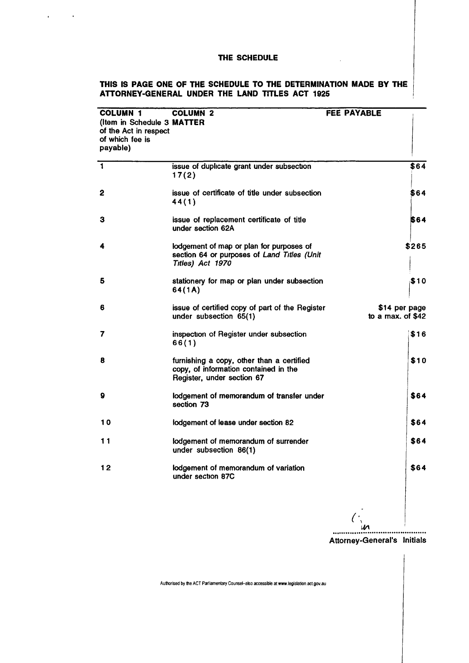$\mathcal{A}^{\mathcal{A}}$  and  $\mathcal{A}^{\mathcal{A}}$  and  $\mathcal{A}^{\mathcal{A}}$ 

### **THIS IS PAGE ONE OF THE SCHEDULE TO THE DETERMINATION MADE BY THE ATTORNEY-GENERAL UNDER THE LAND TITLES ACT 1925**

 $\sim$   $\sim$ 

| <b>COLUMN 1</b><br>(Item in Schedule 3 MATTER<br>of the Act in respect<br>of which fee is<br>payable) | <b>COLUMN 2</b>                                                                                                  | FEE PAYABLE                         |      |
|-------------------------------------------------------------------------------------------------------|------------------------------------------------------------------------------------------------------------------|-------------------------------------|------|
| $\overline{\mathbf{1}}$                                                                               | issue of duplicate grant under subsection<br>17(2)                                                               | \$64                                |      |
| 2                                                                                                     | issue of certificate of title under subsection<br>44(1)                                                          | \$64                                |      |
| з                                                                                                     | issue of replacement certificate of title<br>under section 62A                                                   | 564                                 |      |
| 4                                                                                                     | lodgement of map or plan for purposes of<br>section 64 or purposes of Land Titles (Unit<br>Titles) Act 1970      | \$265                               |      |
| 5                                                                                                     | stationery for map or plan under subsection<br>64(1A)                                                            | \$10                                |      |
| 6                                                                                                     | issue of certified copy of part of the Register<br>under subsection 65(1)                                        | \$14 per page<br>to a max. of $$42$ |      |
| 7                                                                                                     | inspection of Register under subsection<br>66(1)                                                                 |                                     | \$16 |
| 8                                                                                                     | furnishing a copy, other than a certified<br>copy, of information contained in the<br>Register, under section 67 |                                     | \$10 |
| 9                                                                                                     | lodgement of memorandum of transfer under<br>section 73                                                          | \$64                                |      |
| 10                                                                                                    | lodgement of lease under section 82                                                                              | \$64                                |      |
| 11                                                                                                    | lodgement of memorandum of surrender<br>under subsection 86(1)                                                   | \$64                                |      |
| 12                                                                                                    | lodgement of memorandum of variation<br>under section 87C                                                        | \$64                                |      |

w ............ .<br>............................

Attorney-General's Initials

**Authorised by the ACT Parliamentary Counsel-also accessible at** www.legislation act.gov.au